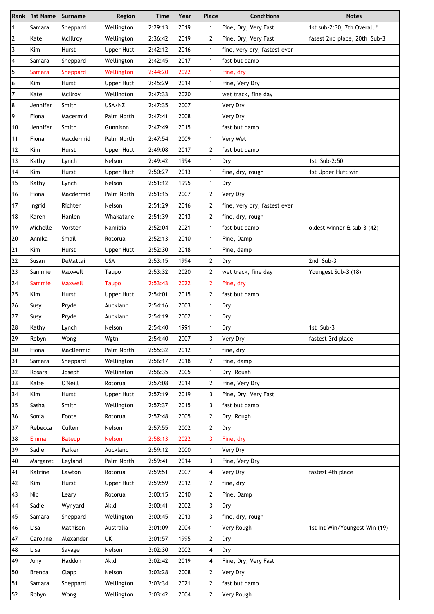|                         | Rank 1st Name Surname |                | Region            | <b>Time</b> | Year | Place          | <b>Conditions</b>            | <b>Notes</b>                  |
|-------------------------|-----------------------|----------------|-------------------|-------------|------|----------------|------------------------------|-------------------------------|
| $\mathbf{1}$            | Samara                | Sheppard       | Wellington        | 2:29:13     | 2019 | 1              | Fine, Dry, Very Fast         | 1st sub-2:30, 7th Overall !   |
| $\overline{2}$          | Kate                  | McIllroy       | Wellington        | 2:36:42     | 2019 | $\overline{2}$ | Fine, Dry, Very Fast         | fasest 2nd place, 20th Sub-3  |
| $\overline{\mathbf{3}}$ | Kim                   | Hurst          | <b>Upper Hutt</b> | 2:42:12     | 2016 | $\mathbf{1}$   | fine, very dry, fastest ever |                               |
| 4                       | Samara                | Sheppard       | Wellington        | 2:42:45     | 2017 | $\mathbf{1}$   | fast but damp                |                               |
| 5                       | Samara                | Sheppard       | Wellington        | 2:44:20     | 2022 | 1              | Fine, dry                    |                               |
| 6                       | Kim                   | Hurst          | <b>Upper Hutt</b> | 2:45:29     | 2014 | $\mathbf{1}$   | Fine, Very Dry               |                               |
| 7                       | Kate                  | McIlroy        | Wellington        | 2:47:33     | 2020 | $\mathbf{1}$   | wet track, fine day          |                               |
| 8                       | Jennifer              | Smith          | USA/NZ            | 2:47:35     | 2007 | 1              | Very Dry                     |                               |
| 9                       | Fiona                 | Macermid       | Palm North        | 2:47:41     | 2008 | $\mathbf{1}$   | Very Dry                     |                               |
| 10                      | Jennifer              | Smith          | Gunnison          | 2:47:49     | 2015 | 1              | fast but damp                |                               |
| 11                      | Fiona                 | Macdermid      | Palm North        | 2:47:54     | 2009 | $\mathbf{1}$   | Very Wet                     |                               |
| 12                      | Kim                   | Hurst          | <b>Upper Hutt</b> | 2:49:08     | 2017 | 2              | fast but damp                |                               |
| 13                      | Kathy                 | Lynch          | Nelson            | 2:49:42     | 1994 | $\mathbf{1}$   | Dry                          | 1st Sub-2:50                  |
| 14                      | Kim                   | Hurst          | <b>Upper Hutt</b> | 2:50:27     | 2013 | $\mathbf{1}$   | fine, dry, rough             | 1st Upper Hutt win            |
| 15                      | Kathy                 | Lynch          | Nelson            | 2:51:12     | 1995 | 1              | Dry                          |                               |
| 16                      | Fiona                 | Macdermid      | Palm North        | 2:51:15     | 2007 | 2              | Very Dry                     |                               |
| 17                      | Ingrid                | Richter        | Nelson            | 2:51:29     | 2016 | 2              | fine, very dry, fastest ever |                               |
| 18                      | Karen                 | Hanlen         | Whakatane         | 2:51:39     | 2013 | 2              | fine, dry, rough             |                               |
| 19                      | Michelle              | Vorster        | Namibia           | 2:52:04     | 2021 | 1              | fast but damp                | oldest winner & sub-3 (42)    |
| 20                      | Annika                | Smail          | Rotorua           | 2:52:13     | 2010 | $\mathbf{1}$   | Fine, Damp                   |                               |
| 21                      | Kim                   | Hurst          | <b>Upper Hutt</b> | 2:52:30     | 2018 | 1              | Fine, damp                   |                               |
| 22                      | Susan                 | DeMattai       | <b>USA</b>        | 2:53:15     | 1994 | $\overline{2}$ | Dry                          | 2nd Sub-3                     |
| 23                      | Sammie                | Maxwell        | Taupo             | 2:53:32     | 2020 | 2              | wet track, fine day          | Youngest Sub-3 (18)           |
| 24                      | Sammie                | Maxwell        | <b>Taupo</b>      | 2:53:43     | 2022 | $\overline{2}$ | Fine, dry                    |                               |
| 25                      | Kim                   | Hurst          | Upper Hutt        | 2:54:01     | 2015 | $\overline{2}$ | fast but damp                |                               |
| 26                      | Susy                  | Pryde          | Auckland          | 2:54:16     | 2003 | 1              | Dry                          |                               |
| 27                      | Susy                  | Pryde          | Auckland          | 2:54:19     | 2002 | $\mathbf{1}$   | Dry                          |                               |
| 28                      | Kathy                 | Lynch          | Nelson            | 2:54:40     | 1991 | $\mathbf{1}$   | Dry                          | 1st Sub-3                     |
| 29                      | Robyn                 | Wong           | Wgtn              | 2:54:40     | 2007 | 3              | Very Dry                     | fastest 3rd place             |
| 30                      | Fiona                 | MacDermid      | Palm North        | 2:55:32     | 2012 | $\mathbf{1}$   | fine, dry                    |                               |
| 31                      | Samara                | Sheppard       | Wellington        | 2:56:17     | 2018 | 2              | Fine, damp                   |                               |
| 32                      | Rosara                | Joseph         | Wellington        | 2:56:35     | 2005 | 1              | Dry, Rough                   |                               |
| 33                      | Katie                 | <b>O'Neill</b> | Rotorua           | 2:57:08     | 2014 | 2              | Fine, Very Dry               |                               |
| 34                      | Kim                   | Hurst          | Upper Hutt        | 2:57:19     | 2019 | 3              | Fine, Dry, Very Fast         |                               |
| 35                      | Sasha                 | Smith          | Wellington        | 2:57:37     | 2015 | 3              | fast but damp                |                               |
| 36                      | Sonia                 | Foote          | Rotorua           | 2:57:48     | 2005 | $\overline{2}$ | Dry, Rough                   |                               |
| 37                      | Rebecca               | Cullen         | Nelson            | 2:57:55     | 2002 | $\overline{2}$ | Dry                          |                               |
| 38                      | <b>Emma</b>           | <b>Bateup</b>  | Nelson            | 2:58:13     | 2022 | 3              | Fine, dry                    |                               |
| 39                      | Sadie                 | Parker         | Auckland          | 2:59:12     | 2000 | $\mathbf{1}$   | Very Dry                     |                               |
| 40                      | Margaret              | Leyland        | Palm North        | 2:59:41     | 2014 | 3              | Fine, Very Dry               |                               |
| 41                      | Katrine               | Lawton         | Rotorua           | 2:59:51     | 2007 | 4              | Very Dry                     | fastest 4th place             |
| 42                      | Kim                   | Hurst          | Upper Hutt        | 2:59:59     | 2012 | $\mathbf{2}$   | fine, dry                    |                               |
| 43                      | Nic                   | Leary          | Rotorua           | 3:00:15     | 2010 | 2              | Fine, Damp                   |                               |
| 44                      | Sadie                 | Wynyard        | Akld              | 3:00:41     | 2002 | 3              | Dry                          |                               |
| 45                      | Samara                | Sheppard       | Wellington        | 3:00:45     | 2013 | 3              | fine, dry, rough             |                               |
| 46                      | Lisa                  | Mathison       | Australia         | 3:01:09     | 2004 | 1              | Very Rough                   | 1st Int Win/Youngest Win (19) |
| 47                      | Caroline              | Alexander      | UK                | 3:01:57     | 1995 | 2              | Dry                          |                               |
| 48                      | Lisa                  | Savage         | Nelson            | 3:02:30     | 2002 | 4              | Dry                          |                               |
| 49                      | Amy                   | Haddon         | Akld              | 3:02:42     | 2019 | 4              | Fine, Dry, Very Fast         |                               |
| 50                      | Brenda                | Clapp          | Nelson            | 3:03:28     | 2008 | $\mathbf{2}$   | Very Dry                     |                               |
| 51                      |                       |                |                   |             |      |                |                              |                               |
|                         | Samara                | Sheppard       | Wellington        | 3:03:34     | 2021 | $\overline{2}$ | fast but damp                |                               |
| 52                      | Robyn                 | Wong           | Wellington        | 3:03:42     | 2004 | $\overline{2}$ | Very Rough                   |                               |